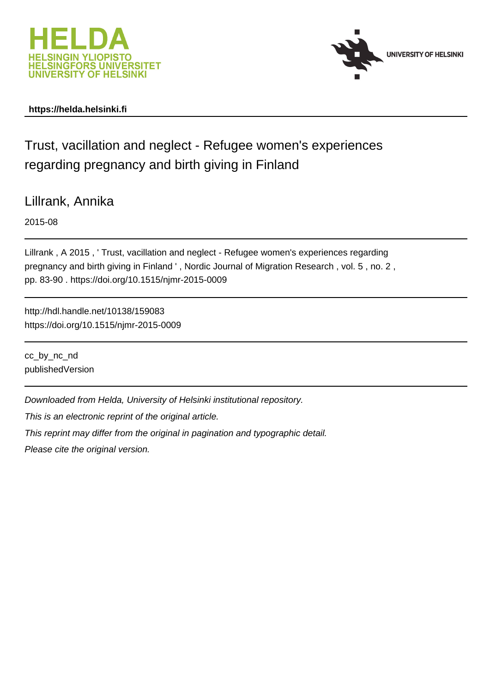



# **https://helda.helsinki.fi**

# Trust, vacillation and neglect - Refugee women's experiences regarding pregnancy and birth giving in Finland

Lillrank, Annika

2015-08

Lillrank , A 2015 , ' Trust, vacillation and neglect - Refugee women's experiences regarding pregnancy and birth giving in Finland ' , Nordic Journal of Migration Research , vol. 5 , no. 2 , pp. 83-90 . https://doi.org/10.1515/njmr-2015-0009

http://hdl.handle.net/10138/159083 https://doi.org/10.1515/njmr-2015-0009

cc\_by\_nc\_nd publishedVersion

Downloaded from Helda, University of Helsinki institutional repository.

This is an electronic reprint of the original article.

This reprint may differ from the original in pagination and typographic detail.

Please cite the original version.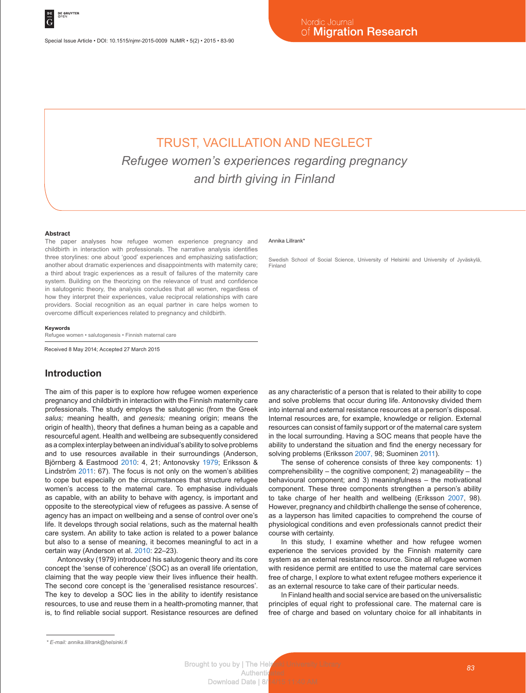# TRUST, VACILLATION AND NEGLECT *Refugee women's experiences regarding pregnancy and birth giving in Finland*

#### **Abstract**

The paper analyses how refugee women experience pregnancy and childbirth in interaction with professionals. The narrative analysis identifies three storylines: one about 'good' experiences and emphasizing satisfaction; another about dramatic experiences and disappointments with maternity care; a third about tragic experiences as a result of failures of the maternity care system. Building on the theorizing on the relevance of trust and confidence in salutogenic theory, the analysis concludes that all women, regardless of how they interpret their experiences, value reciprocal relationships with care providers. Social recognition as an equal partner in care helps women to overcome difficult experiences related to pregnancy and childbirth.

#### **Keywords**

Refugee women • salutogenesis • Finnish maternal care

Received 8 May 2014; Accepted 27 March 2015

## **Introduction**

The aim of this paper is to explore how refugee women experience pregnancy and childbirth in interaction with the Finnish maternity care professionals. The study employs the salutogenic (from the Greek *salus;* meaning health, and *genesis;* meaning origin; means the origin of health), theory that defines a human being as a capable and resourceful agent. Health and wellbeing are subsequently considered as a complex interplay between an individual's ability to solve problems and to use resources available in their surroundings (Anderson, Björnberg & Eastmood 2010: 4, 21; Antonovsky 1979; Eriksson & Lindström 2011: 67). The focus is not only on the women's abilities to cope but especially on the circumstances that structure refugee women's access to the maternal care. To emphasise individuals as capable, with an ability to behave with agency, is important and opposite to the stereotypical view of refugees as passive. A sense of agency has an impact on wellbeing and a sense of control over one's life. It develops through social relations, such as the maternal health care system. An ability to take action is related to a power balance but also to a sense of meaning, it becomes meaningful to act in a certain way (Anderson et al. 2010: 22–23).

Antonovsky (1979) introduced his salutogenic theory and its core concept the 'sense of coherence' (SOC) as an overall life orientation, claiming that the way people view their lives influence their health. The second core concept is the 'generalised resistance resources'. The key to develop a SOC lies in the ability to identify resistance resources, to use and reuse them in a health-promoting manner, that is, to find reliable social support. Resistance resources are defined

#### Annika Lillrank\*

Swedish School of Social Science, University of Helsinki and University of Jyväskylä, Finland

as any characteristic of a person that is related to their ability to cope and solve problems that occur during life. Antonovsky divided them into internal and external resistance resources at a person's disposal. Internal resources are, for example, knowledge or religion. External resources can consist of family support or of the maternal care system in the local surrounding. Having a SOC means that people have the ability to understand the situation and find the energy necessary for solving problems (Eriksson 2007, 98; Suominen 2011).

The sense of coherence consists of three key components: 1) comprehensibility – the cognitive component; 2) manageability – the behavioural component; and 3) meaningfulness – the motivational component. These three components strengthen a person's ability to take charge of her health and wellbeing (Eriksson 2007, 98). However, pregnancy and childbirth challenge the sense of coherence, as a layperson has limited capacities to comprehend the course of physiological conditions and even professionals cannot predict their course with certainty.

In this study, I examine whether and how refugee women experience the services provided by the Finnish maternity care system as an external resistance resource. Since all refugee women with residence permit are entitled to use the maternal care services free of charge, I explore to what extent refugee mothers experience it as an external resource to take care of their particular needs.

In Finland health and social service are based on the universalistic principles of equal right to professional care. The maternal care is free of charge and based on voluntary choice for all inhabitants in

*<sup>\*</sup> E-mail: annika.lillrank@helsinki.fi*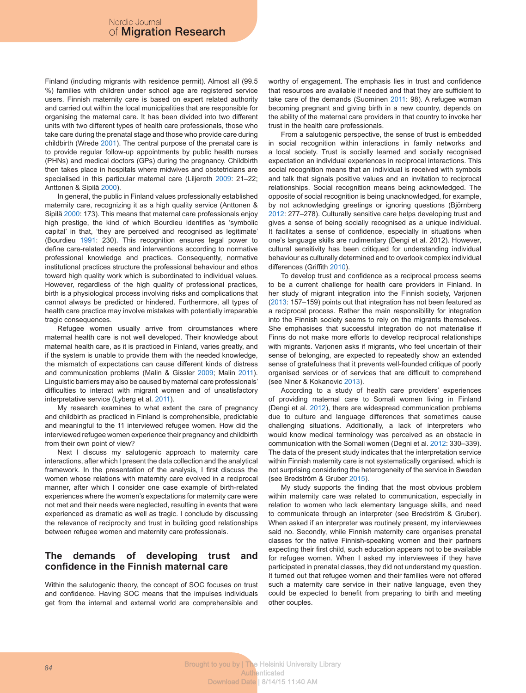Finland (including migrants with residence permit). Almost all (99.5 %) families with children under school age are registered service users. Finnish maternity care is based on expert related authority and carried out within the local municipalities that are responsible for organising the maternal care. It has been divided into two different units with two different types of health care professionals, those who take care during the prenatal stage and those who provide care during childbirth (Wrede 2001). The central purpose of the prenatal care is to provide regular follow-up appointments by public health nurses (PHNs) and medical doctors (GPs) during the pregnancy. Childbirth then takes place in hospitals where midwives and obstetricians are specialised in this particular maternal care (Liljeroth 2009: 21–22; Anttonen & Sipilä 2000).

In general, the public in Finland values professionally established maternity care, recognizing it as a high quality service (Anttonen & Sipilä 2000: 173). This means that maternal care professionals enjoy high prestige, the kind of which Bourdieu identifies as 'symbolic capital' in that, 'they are perceived and recognised as legitimate' (Bourdieu 1991: 230). This recognition ensures legal power to define care-related needs and interventions according to normative professional knowledge and practices. Consequently, normative institutional practices structure the professional behaviour and ethos toward high quality work which is subordinated to individual values. However, regardless of the high quality of professional practices, birth is a physiological process involving risks and complications that cannot always be predicted or hindered. Furthermore, all types of health care practice may involve mistakes with potentially irreparable tragic consequences.

Refugee women usually arrive from circumstances where maternal health care is not well developed. Their knowledge about maternal health care, as it is practiced in Finland, varies greatly, and if the system is unable to provide them with the needed knowledge, the mismatch of expectations can cause different kinds of distress and communication problems (Malin & Gissler 2009; Malin 2011). Linguistic barriers may also be caused by maternal care professionals' difficulties to interact with migrant women and of unsatisfactory interpretative service (Lyberg et al. 2011).

My research examines to what extent the care of pregnancy and childbirth as practiced in Finland is comprehensible, predictable and meaningful to the 11 interviewed refugee women. How did the interviewed refugee women experience their pregnancy and childbirth from their own point of view?

Next I discuss my salutogenic approach to maternity care interactions, after which I present the data collection and the analytical framework. In the presentation of the analysis, I first discuss the women whose relations with maternity care evolved in a reciprocal manner, after which I consider one case example of birth-related experiences where the women's expectations for maternity care were not met and their needs were neglected, resulting in events that were experienced as dramatic as well as tragic. I conclude by discussing the relevance of reciprocity and trust in building good relationships between refugee women and maternity care professionals.

# **The demands of developing trust and confidence in the Finnish maternal care**

Within the salutogenic theory, the concept of SOC focuses on trust and confidence. Having SOC means that the impulses individuals get from the internal and external world are comprehensible and worthy of engagement. The emphasis lies in trust and confidence that resources are available if needed and that they are sufficient to take care of the demands (Suominen 2011: 98). A refugee woman becoming pregnant and giving birth in a new country, depends on the ability of the maternal care providers in that country to invoke her trust in the health care professionals.

From a salutogenic perspective, the sense of trust is embedded in social recognition within interactions in family networks and a local society. Trust is socially learned and socially recognised expectation an individual experiences in reciprocal interactions. This social recognition means that an individual is received with symbols and talk that signals positive values and an invitation to reciprocal relationships. Social recognition means being acknowledged. The opposite of social recognition is being unacknowledged, for example, by not acknowledging greetings or ignoring questions (Björnberg 2012: 277–278). Culturally sensitive care helps developing trust and gives a sense of being socially recognised as a unique individual. It facilitates a sense of confidence, especially in situations when one's language skills are rudimentary (Dengi et al. 2012). However, cultural sensitivity has been critiqued for understanding individual behaviour as culturally determined and to overlook complex individual differences (Griffith 2010).

To develop trust and confidence as a reciprocal process seems to be a current challenge for health care providers in Finland. In her study of migrant integration into the Finnish society, Varjonen (2013: 157–159) points out that integration has not been featured as a reciprocal process. Rather the main responsibility for integration into the Finnish society seems to rely on the migrants themselves. She emphasises that successful integration do not materialise if Finns do not make more efforts to develop reciprocal relationships with migrants. Varjonen asks if migrants, who feel uncertain of their sense of belonging, are expected to repeatedly show an extended sense of gratefulness that it prevents well-founded critique of poorly organised services or of services that are difficult to comprehend (see Niner & Kokanovic 2013).

According to a study of health care providers' experiences of providing maternal care to Somali women living in Finland (Dengi et al. 2012), there are widespread communication problems due to culture and language differences that sometimes cause challenging situations. Additionally, a lack of interpreters who would know medical terminology was perceived as an obstacle in communication with the Somali women (Degni et al. 2012: 330–339). The data of the present study indicates that the interpretation service within Finnish maternity care is not systematically organised, which is not surprising considering the heterogeneity of the service in Sweden (see Bredström & Gruber 2015).

My study supports the finding that the most obvious problem within maternity care was related to communication, especially in relation to women who lack elementary language skills, and need to communicate through an interpreter (see Bredström & Gruber). When asked if an interpreter was routinely present, my interviewees said no. Secondly, while Finnish maternity care organises prenatal classes for the native Finnish-speaking women and their partners expecting their first child, such education appears not to be available for refugee women. When I asked my interviewees if they have participated in prenatal classes, they did not understand my question. It turned out that refugee women and their families were not offered such a maternity care service in their native language, even they could be expected to benefit from preparing to birth and meeting other couples.

**84 Brought to you by | The Helsinki University Library Authenticated** Download Date | 8/14/15 11:40 AM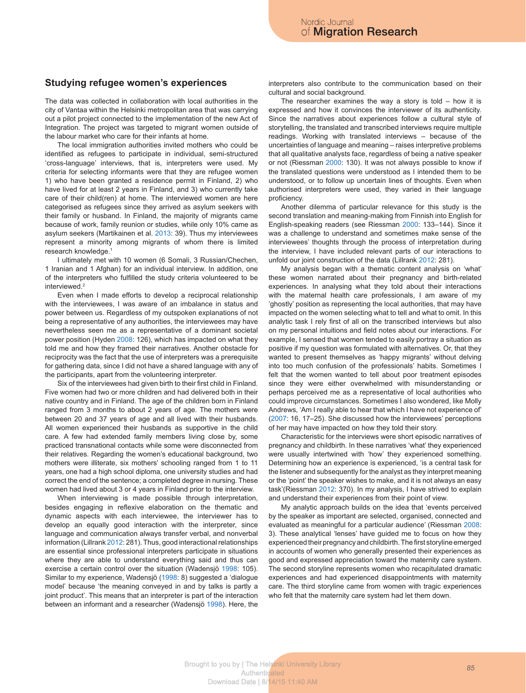#### **Studying refugee women's experiences**

The data was collected in collaboration with local authorities in the city of Vantaa within the Helsinki metropolitan area that was carrying out a pilot project connected to the implementation of the new Act of Integration. The project was targeted to migrant women outside of the labour market who care for their infants at home.

The local immigration authorities invited mothers who could be identified as refugees to participate in individual, semi-structured 'cross-language' interviews, that is, interpreters were used. My criteria for selecting informants were that they are refugee women 1) who have been granted a residence permit in Finland, 2) who have lived for at least 2 years in Finland, and 3) who currently take care of their child(ren) at home. The interviewed women are here categorised as refugees since they arrived as asylum seekers with their family or husband. In Finland, the majority of migrants came because of work, family reunion or studies, while only 10% came as asylum seekers (Martikainen et al. 2013: 39). Thus my interviewees represent a minority among migrants of whom there is limited research knowledge.1

I ultimately met with 10 women (6 Somali, 3 Russian/Chechen, 1 Iranian and 1 Afghan) for an individual interview. In addition, one of the interpreters who fulfilled the study criteria volunteered to be interviewed.2

Even when I made efforts to develop a reciprocal relationship with the interviewees, I was aware of an imbalance in status and power between us. Regardless of my outspoken explanations of not being a representative of any authorities, the interviewees may have nevertheless seen me as a representative of a dominant societal power position (Hyden 2008: 126), which has impacted on what they told me and how they framed their narratives. Another obstacle for reciprocity was the fact that the use of interpreters was a prerequisite for gathering data, since I did not have a shared language with any of the participants, apart from the volunteering interpreter.

Six of the interviewees had given birth to their first child in Finland. Five women had two or more children and had delivered both in their native country and in Finland. The age of the children born in Finland ranged from 3 months to about 2 years of age. The mothers were between 20 and 37 years of age and all lived with their husbands. All women experienced their husbands as supportive in the child care. A few had extended family members living close by, some practiced transnational contacts while some were disconnected from their relatives. Regarding the women's educational background, two mothers were illiterate, six mothers' schooling ranged from 1 to 11 years, one had a high school diploma, one university studies and had correct the end of the sentence; a completed degree in nursing. These women had lived about 3 or 4 years in Finland prior to the interview.

When interviewing is made possible through interpretation, besides engaging in reflexive elaboration on the thematic and dynamic aspects with each interviewee, the interviewer has to develop an equally good interaction with the interpreter, since language and communication always transfer verbal, and nonverbal information (Lillrank 2012: 281). Thus, good interactional relationships are essential since professional interpreters participate in situations where they are able to understand everything said and thus can exercise a certain control over the situation (Wadensjö 1998: 105). Similar to my experience, Wadensjö (1998: 8) suggested a 'dialogue model' because 'the meaning conveyed in and by talks is partly a joint product'. This means that an interpreter is part of the interaction between an informant and a researcher (Wadensjö 1998). Here, the

interpreters also contribute to the communication based on their cultural and social background.

The researcher examines the way a story is told  $-$  how it is expressed and how it convinces the interviewer of its authenticity. Since the narratives about experiences follow a cultural style of storytelling, the translated and transcribed interviews require multiple readings. Working with translated interviews – because of the uncertainties of language and meaning – raises interpretive problems that all qualitative analysts face, regardless of being a native speaker or not (Riessman 2000: 130). It was not always possible to know if the translated questions were understood as I intended them to be understood, or to follow up uncertain lines of thoughts. Even when authorised interpreters were used, they varied in their language proficiency.

Another dilemma of particular relevance for this study is the second translation and meaning-making from Finnish into English for English-speaking readers (see Riessman 2000: 133–144). Since it was a challenge to understand and sometimes make sense of the interviewees' thoughts through the process of interpretation during the interview, I have included relevant parts of our interactions to unfold our joint construction of the data (Lillrank 2012: 281).

My analysis began with a thematic content analysis on 'what' these women narrated about their pregnancy and birth-related experiences. In analysing what they told about their interactions with the maternal health care professionals, I am aware of my 'ghostly' position as representing the local authorities, that may have impacted on the women selecting what to tell and what to omit. In this analytic task I rely first of all on the transcribed interviews but also on my personal intuitions and field notes about our interactions. For example, I sensed that women tended to easily portray a situation as positive if my question was formulated with alternatives. Or, that they wanted to present themselves as 'happy migrants' without delving into too much confusion of the professionals' habits. Sometimes I felt that the women wanted to tell about poor treatment episodes since they were either overwhelmed with misunderstanding or perhaps perceived me as a representative of local authorities who could improve circumstances. Sometimes I also wondered, like Molly Andrews, 'Am I really able to hear that which I have not experience of' (2007: 16, 17–25). She discussed how the interviewees' perceptions of her may have impacted on how they told their story.

Characteristic for the interviews were short episodic narratives of pregnancy and childbirth. In these narratives 'what' they experienced were usually intertwined with 'how' they experienced something. Determining how an experience is experienced, 'is a central task for the listener and subsequently for the analyst as they interpret meaning or the 'point' the speaker wishes to make, and it is not always an easy task'(Riessman 2012: 370). In my analysis, I have strived to explain and understand their experiences from their point of view.

My analytic approach builds on the idea that 'events perceived by the speaker as important are selected, organised, connected and evaluated as meaningful for a particular audience' (Riessman 2008: 3). These analytical 'lenses' have guided me to focus on how they experienced their pregnancy and childbirth. The first storyline emerged in accounts of women who generally presented their experiences as good and expressed appreciation toward the maternity care system. The second storyline represents women who recapitulated dramatic experiences and had experienced disappointments with maternity care. The third storyline came from women with tragic experiences who felt that the maternity care system had let them down.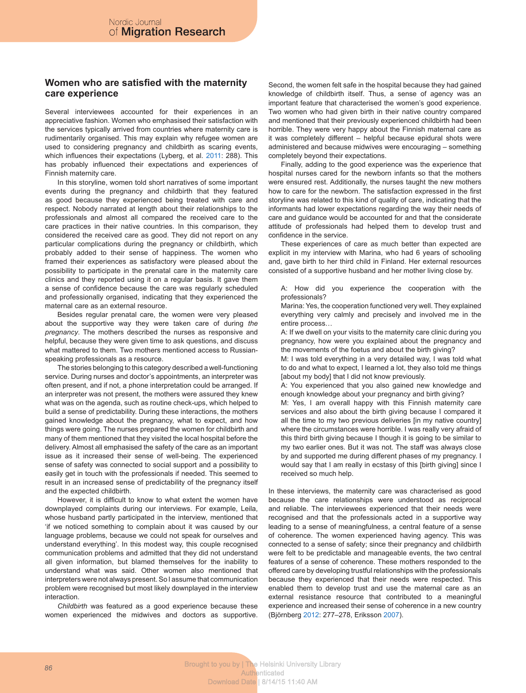## **Women who are satisfied with the maternity care experience**

Several interviewees accounted for their experiences in an appreciative fashion. Women who emphasised their satisfaction with the services typically arrived from countries where maternity care is rudimentarily organised. This may explain why refugee women are used to considering pregnancy and childbirth as scaring events, which influences their expectations (Lyberg, et al. 2011: 288). This has probably influenced their expectations and experiences of Finnish maternity care.

In this storyline, women told short narratives of some important events during the pregnancy and childbirth that they featured as good because they experienced being treated with care and respect. Nobody narrated at length about their relationships to the professionals and almost all compared the received care to the care practices in their native countries. In this comparison, they considered the received care as good. They did not report on any particular complications during the pregnancy or childbirth, which probably added to their sense of happiness. The women who framed their experiences as satisfactory were pleased about the possibility to participate in the prenatal care in the maternity care clinics and they reported using it on a regular basis. It gave them a sense of confidence because the care was regularly scheduled and professionally organised, indicating that they experienced the maternal care as an external resource.

Besides regular prenatal care, the women were very pleased about the supportive way they were taken care of during *the pregnancy*. The mothers described the nurses as responsive and helpful, because they were given time to ask questions, and discuss what mattered to them. Two mothers mentioned access to Russianspeaking professionals as a resource.

The stories belonging to this category described a well-functioning service. During nurses and doctor's appointments, an interpreter was often present, and if not, a phone interpretation could be arranged. If an interpreter was not present, the mothers were assured they knew what was on the agenda, such as routine check-ups, which helped to build a sense of predictability. During these interactions, the mothers gained knowledge about the pregnancy, what to expect, and how things were going. The nurses prepared the women for childbirth and many of them mentioned that they visited the local hospital before the delivery. Almost all emphasised the safety of the care as an important issue as it increased their sense of well-being. The experienced sense of safety was connected to social support and a possibility to easily get in touch with the professionals if needed. This seemed to result in an increased sense of predictability of the pregnancy itself and the expected childbirth.

However, it is difficult to know to what extent the women have downplayed complaints during our interviews. For example, Leila, whose husband partly participated in the interview, mentioned that 'if we noticed something to complain about it was caused by our language problems, because we could not speak for ourselves and understand everything'. In this modest way, this couple recognised communication problems and admitted that they did not understand all given information, but blamed themselves for the inability to understand what was said. Other women also mentioned that interpreters were not always present. So I assume that communication problem were recognised but most likely downplayed in the interview **interaction** 

*Childbirth* was featured as a good experience because these women experienced the midwives and doctors as supportive.

Second, the women felt safe in the hospital because they had gained knowledge of childbirth itself. Thus, a sense of agency was an important feature that characterised the women's good experience. Two women who had given birth in their native country compared and mentioned that their previously experienced childbirth had been horrible. They were very happy about the Finnish maternal care as it was completely different – helpful because epidural shots were administered and because midwives were encouraging – something completely beyond their expectations.

Finally, adding to the good experience was the experience that hospital nurses cared for the newborn infants so that the mothers were ensured rest. Additionally, the nurses taught the new mothers how to care for the newborn. The satisfaction expressed in the first storyline was related to this kind of quality of care, indicating that the informants had lower expectations regarding the way their needs of care and guidance would be accounted for and that the considerate attitude of professionals had helped them to develop trust and confidence in the service.

These experiences of care as much better than expected are explicit in my interview with Marina, who had 6 years of schooling and, gave birth to her third child in Finland. Her external resources consisted of a supportive husband and her mother living close by.

A: How did you experience the cooperation with the professionals?

Marina: Yes, the cooperation functioned very well. They explained everything very calmly and precisely and involved me in the entire process…

A: If we dwell on your visits to the maternity care clinic during you pregnancy, how were you explained about the pregnancy and the movements of the foetus and about the birth giving?

M: I was told everything in a very detailed way, I was told what to do and what to expect, I learned a lot, they also told me things [about my body] that I did not know previously.

A: You experienced that you also gained new knowledge and enough knowledge about your pregnancy and birth giving?

M: Yes, I am overall happy with this Finnish maternity care services and also about the birth giving because I compared it all the time to my two previous deliveries [in my native country] where the circumstances were horrible. I was really very afraid of this third birth giving because I though it is going to be similar to my two earlier ones. But it was not. The staff was always close by and supported me during different phases of my pregnancy. I would say that I am really in ecstasy of this [birth giving] since I received so much help.

In these interviews, the maternity care was characterised as good because the care relationships were understood as reciprocal and reliable. The interviewees experienced that their needs were recognised and that the professionals acted in a supportive way leading to a sense of meaningfulness, a central feature of a sense of coherence. The women experienced having agency. This was connected to a sense of safety; since their pregnancy and childbirth were felt to be predictable and manageable events, the two central features of a sense of coherence. These mothers responded to the offered care by developing trustful relationships with the professionals because they experienced that their needs were respected. This enabled them to develop trust and use the maternal care as an external resistance resource that contributed to a meaningful experience and increased their sense of coherence in a new country (Björnberg 2012: 277–278, Eriksson 2007).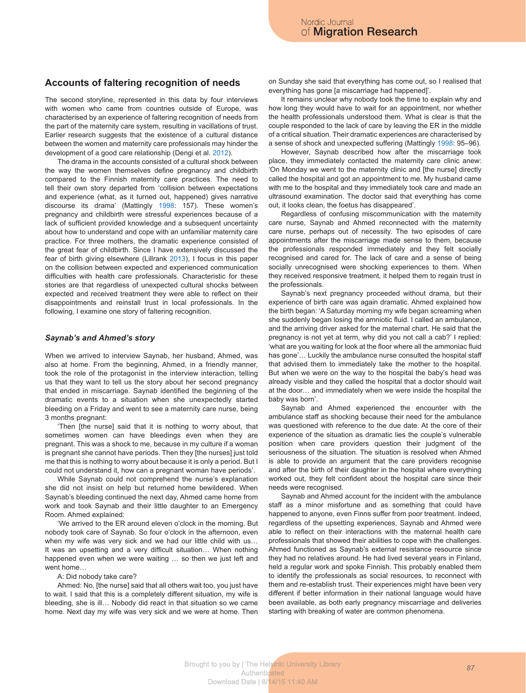#### **Accounts of faltering recognition of needs**

The second storyline, represented in this data by four interviews with women who came from countries outside of Europe, was characterised by an experience of faltering recognition of needs from the part of the maternity care system, resulting in vacillations of trust. Earlier research suggests that the existence of a cultural distance between the women and maternity care professionals may hinder the development of a good care relationship (Dengi et al. 2012).

The drama in the accounts consisted of a cultural shock between the way the women themselves define pregnancy and childbirth compared to the Finnish maternity care practices. The need to tell their own story departed from 'collision between expectations and experience (what, as it turned out, happened) gives narrative discourse its drama' (Mattingly 1998: 157). These women's pregnancy and childbirth were stressful experiences because of a lack of sufficient provided knowledge and a subsequent uncertainty about how to understand and cope with an unfamiliar maternity care practice. For three mothers, the dramatic experience consisted of the great fear of childbirth. Since I have extensively discussed the fear of birth giving elsewhere (Lillrank 2013), I focus in this paper on the collision between expected and experienced communication difficulties with health care professionals. Characteristic for these stories are that regardless of unexpected cultural shocks between expected and received treatment they were able to reflect on their disappointments and reinstall trust in local professionals. In the following, I examine one story of faltering recognition.

#### *Saynab's and Ahmed's story*

When we arrived to interview Saynab, her husband, Ahmed, was also at home. From the beginning, Ahmed, in a friendly manner, took the role of the protagonist in the interview interaction, telling us that they want to tell us the story about her second pregnancy that ended in miscarriage. Saynab identified the beginning of the dramatic events to a situation when she unexpectedly started bleeding on a Friday and went to see a maternity care nurse, being 3 months pregnant:

'Then [the nurse] said that it is nothing to worry about, that sometimes women can have bleedings even when they are pregnant. This was a shock to me, because in my culture if a woman is pregnant she cannot have periods. Then they [the nurses] just told me that this is nothing to worry about because it is only a period. But I could not understand it, how can a pregnant woman have periods'.

While Saynab could not comprehend the nurse's explanation she did not insist on help but returned home bewildered. When Saynab's bleeding continued the next day, Ahmed came home from work and took Saynab and their little daughter to an Emergency Room. Ahmed explained:

'We arrived to the ER around eleven o'clock in the morning. But nobody took care of Saynab. So four o'clock in the afternoon, even when my wife was very sick and we had our little child with us… It was an upsetting and a very difficult situation… When nothing happened even when we were waiting ... so then we just left and went home…

#### A: Did nobody take care?

Ahmed: No, [the nurse] said that all others wait too, you just have to wait. I said that this is a completely different situation, my wife is bleeding, she is ill… Nobody did react in that situation so we came home. Next day my wife was very sick and we were at home. Then on Sunday she said that everything has come out, so I realised that everything has gone [a miscarriage had happened]'.

It remains unclear why nobody took the time to explain why and how long they would have to wait for an appointment, nor whether the health professionals understood them. What is clear is that the couple responded to the lack of care by leaving the ER in the middle of a critical situation. Their dramatic experiences are characterised by a sense of shock and unexpected suffering (Mattingly 1998: 95–96).

However, Saynab described how after the miscarriage took place, they immediately contacted the maternity care clinic anew: 'On Monday we went to the maternity clinic and [the nurse] directly called the hospital and got an appointment to me. My husband came with me to the hospital and they immediately took care and made an ultrasound examination. The doctor said that everything has come out, it looks clean, the foetus has disappeared'.

Regardless of confusing miscommunication with the maternity care nurse, Saynab and Ahmed reconnected with the maternity care nurse, perhaps out of necessity. The two episodes of care appointments after the miscarriage made sense to them, because the professionals responded immediately and they felt socially recognised and cared for. The lack of care and a sense of being socially unrecognised were shocking experiences to them. When they received responsive treatment, it helped them to regain trust in the professionals.

Saynab's next pregnancy proceeded without drama, but their experience of birth care was again dramatic. Ahmed explained how the birth began: 'A Saturday morning my wife began screaming when she suddenly began losing the amniotic fluid. I called an ambulance, and the arriving driver asked for the maternal chart. He said that the pregnancy is not yet at term, why did you not call a cab?' I replied: 'what are you waiting for look at the floor where all the ammoniac fluid has gone'... Luckily the ambulance nurse consulted the hospital staff that advised them to immediately take the mother to the hospital. But when we were on the way to the hospital the baby's head was already visible and they called the hospital that a doctor should wait at the door… and immediately when we were inside the hospital the baby was born'.

Saynab and Ahmed experienced the encounter with the ambulance staff as shocking because their need for the ambulance was questioned with reference to the due date. At the core of their experience of the situation as dramatic lies the couple's vulnerable position when care providers question their judgment of the seriousness of the situation. The situation is resolved when Ahmed is able to provide an argument that the care providers recognise and after the birth of their daughter in the hospital where everything worked out, they felt confident about the hospital care since their needs were recognised.

Saynab and Ahmed account for the incident with the ambulance staff as a minor misfortune and as something that could have happened to anyone, even Finns suffer from poor treatment. Indeed, regardless of the upsetting experiences, Saynab and Ahmed were able to reflect on their interactions with the maternal health care professionals that showed their abilities to cope with the challenges. Ahmed functioned as Saynab's external resistance resource since they had no relatives around. He had lived several years in Finland, held a regular work and spoke Finnish. This probably enabled them to identify the professionals as social resources, to reconnect with them and re-establish trust. Their experiences might have been very different if better information in their national language would have been available, as both early pregnancy miscarriage and deliveries starting with breaking of water are common phenomena.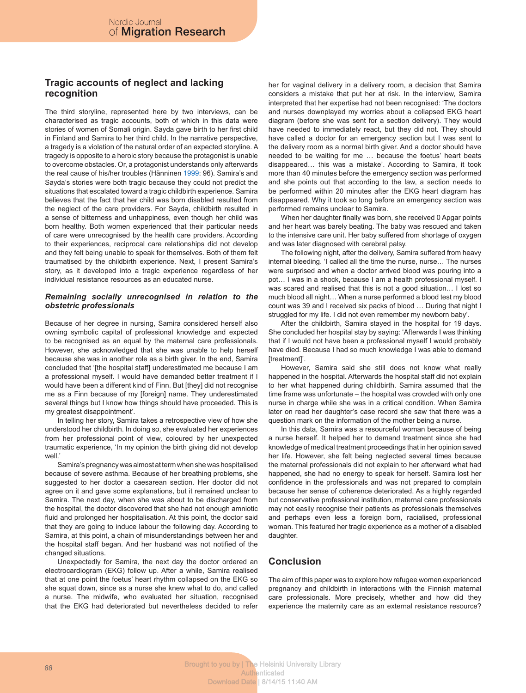# **Tragic accounts of neglect and lacking recognition**

The third storyline, represented here by two interviews, can be characterised as tragic accounts, both of which in this data were stories of women of Somali origin. Sayda gave birth to her first child in Finland and Samira to her third child. In the narrative perspective, a tragedy is a violation of the natural order of an expected storyline. A tragedy is opposite to a heroic story because the protagonist is unable to overcome obstacles. Or, a protagonist understands only afterwards the real cause of his/her troubles (Hänninen 1999: 96). Samira's and Sayda's stories were both tragic because they could not predict the situations that escalated toward a tragic childbirth experience. Samira believes that the fact that her child was born disabled resulted from the neglect of the care providers. For Sayda, childbirth resulted in a sense of bitterness and unhappiness, even though her child was born healthy. Both women experienced that their particular needs of care were unrecognised by the health care providers. According to their experiences, reciprocal care relationships did not develop and they felt being unable to speak for themselves. Both of them felt traumatised by the childbirth experience. Next, I present Samira's story, as it developed into a tragic experience regardless of her individual resistance resources as an educated nurse.

#### *Remaining socially unrecognised in relation to the obstetric professionals*

Because of her degree in nursing, Samira considered herself also owning symbolic capital of professional knowledge and expected to be recognised as an equal by the maternal care professionals. However, she acknowledged that she was unable to help herself because she was in another role as a birth giver. In the end, Samira concluded that '[the hospital staff] underestimated me because I am a professional myself. I would have demanded better treatment if I would have been a different kind of Finn. But [they] did not recognise me as a Finn because of my [foreign] name. They underestimated several things but I know how things should have proceeded. This is my greatest disappointment'.

In telling her story, Samira takes a retrospective view of how she understood her childbirth. In doing so, she evaluated her experiences from her professional point of view, coloured by her unexpected traumatic experience, 'In my opinion the birth giving did not develop well.'

Samira's pregnancy was almost at term when she was hospitalised because of severe asthma. Because of her breathing problems, she suggested to her doctor a caesarean section. Her doctor did not agree on it and gave some explanations, but it remained unclear to Samira. The next day, when she was about to be discharged from the hospital, the doctor discovered that she had not enough amniotic fluid and prolonged her hospitalisation. At this point, the doctor said that they are going to induce labour the following day. According to Samira, at this point, a chain of misunderstandings between her and the hospital staff began. And her husband was not notified of the changed situations.

Unexpectedly for Samira, the next day the doctor ordered an electrocardiogram (EKG) follow up. After a while, Samira realised that at one point the foetus' heart rhythm collapsed on the EKG so she squat down, since as a nurse she knew what to do, and called a nurse. The midwife, who evaluated her situation, recognised that the EKG had deteriorated but nevertheless decided to refer

her for vaginal delivery in a delivery room, a decision that Samira considers a mistake that put her at risk. In the interview, Samira interpreted that her expertise had not been recognised: 'The doctors and nurses downplayed my worries about a collapsed EKG heart diagram (before she was sent for a section delivery). They would have needed to immediately react, but they did not. They should have called a doctor for an emergency section but I was sent to the delivery room as a normal birth giver. And a doctor should have needed to be waiting for me … because the foetus' heart beats disappeared… this was a mistake'. According to Samira, it took more than 40 minutes before the emergency section was performed and she points out that according to the law, a section needs to be performed within 20 minutes after the EKG heart diagram has disappeared. Why it took so long before an emergency section was performed remains unclear to Samira.

When her daughter finally was born, she received 0 Apgar points and her heart was barely beating. The baby was rescued and taken to the intensive care unit. Her baby suffered from shortage of oxygen and was later diagnosed with cerebral palsy.

The following night, after the delivery, Samira suffered from heavy internal bleeding. 'I called all the time the nurse, nurse… The nurses were surprised and when a doctor arrived blood was pouring into a pot… I was in a shock, because I am a health professional myself. I was scared and realised that this is not a good situation… I lost so much blood all night… When a nurse performed a blood test my blood count was 39 and I received six packs of blood … During that night I struggled for my life. I did not even remember my newborn baby'.

After the childbirth, Samira stayed in the hospital for 19 days. She concluded her hospital stay by saying: 'Afterwards I was thinking that if I would not have been a professional myself I would probably have died. Because I had so much knowledge I was able to demand [treatment]'.

However, Samira said she still does not know what really happened in the hospital. Afterwards the hospital staff did not explain to her what happened during childbirth. Samira assumed that the time frame was unfortunate – the hospital was crowded with only one nurse in charge while she was in a critical condition. When Samira later on read her daughter's case record she saw that there was a question mark on the information of the mother being a nurse.

In this data, Samira was a resourceful woman because of being a nurse herself. It helped her to demand treatment since she had knowledge of medical treatment proceedings that in her opinion saved her life. However, she felt being neglected several times because the maternal professionals did not explain to her afterward what had happened, she had no energy to speak for herself. Samira lost her confidence in the professionals and was not prepared to complain because her sense of coherence deteriorated. As a highly regarded but conservative professional institution, maternal care professionals may not easily recognise their patients as professionals themselves and perhaps even less a foreign born, racialised, professional woman. This featured her tragic experience as a mother of a disabled daughter.

# **Conclusion**

The aim of this paper was to explore how refugee women experienced pregnancy and childbirth in interactions with the Finnish maternal care professionals. More precisely, whether and how did they experience the maternity care as an external resistance resource?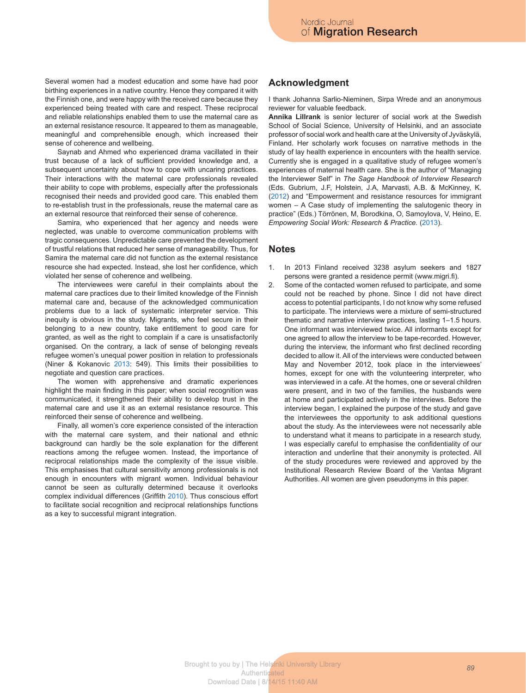Several women had a modest education and some have had poor birthing experiences in a native country. Hence they compared it with the Finnish one, and were happy with the received care because they experienced being treated with care and respect. These reciprocal and reliable relationships enabled them to use the maternal care as an external resistance resource. It appeared to them as manageable, meaningful and comprehensible enough, which increased their sense of coherence and wellbeing.

Saynab and Ahmed who experienced drama vacillated in their trust because of a lack of sufficient provided knowledge and, a subsequent uncertainty about how to cope with uncaring practices. Their interactions with the maternal care professionals revealed their ability to cope with problems, especially after the professionals recognised their needs and provided good care. This enabled them to re-establish trust in the professionals, reuse the maternal care as an external resource that reinforced their sense of coherence.

Samira, who experienced that her agency and needs were neglected, was unable to overcome communication problems with tragic consequences. Unpredictable care prevented the development of trustful relations that reduced her sense of manageability. Thus, for Samira the maternal care did not function as the external resistance resource she had expected. Instead, she lost her confidence, which violated her sense of coherence and wellbeing.

The interviewees were careful in their complaints about the maternal care practices due to their limited knowledge of the Finnish maternal care and, because of the acknowledged communication problems due to a lack of systematic interpreter service. This inequity is obvious in the study. Migrants, who feel secure in their belonging to a new country, take entitlement to good care for granted, as well as the right to complain if a care is unsatisfactorily organised. On the contrary, a lack of sense of belonging reveals refugee women's unequal power position in relation to professionals (Niner & Kokanovic 2013: 549). This limits their possibilities to negotiate and question care practices.

The women with apprehensive and dramatic experiences highlight the main finding in this paper; when social recognition was communicated, it strengthened their ability to develop trust in the maternal care and use it as an external resistance resource. This reinforced their sense of coherence and wellbeing.

Finally, all women's core experience consisted of the interaction with the maternal care system, and their national and ethnic background can hardly be the sole explanation for the different reactions among the refugee women. Instead, the importance of reciprocal relationships made the complexity of the issue visible. This emphasises that cultural sensitivity among professionals is not enough in encounters with migrant women. Individual behaviour cannot be seen as culturally determined because it overlooks complex individual differences (Griffith 2010). Thus conscious effort to facilitate social recognition and reciprocal relationships functions as a key to successful migrant integration.

### **Acknowledgment**

I thank Johanna Sarlio-Nieminen, Sirpa Wrede and an anonymous reviewer for valuable feedback.

**Annika Lillrank** is senior lecturer of social work at the Swedish School of Social Science, University of Helsinki, and an associate professor of social work and health care at the University of Jyväskylä, Finland. Her scholarly work focuses on narrative methods in the study of lay health experience in encounters with the health service. Currently she is engaged in a qualitative study of refugee women's experiences of maternal health care. She is the author of "Managing the Interviewer Self" in *The Sage Handbook of Interview Research*  (Eds. Gubrium, J.F, Holstein, J.A, Marvasti, A.B. & McKinney, K. (2012) and "Empowerment and resistance resources for immigrant women – A Case study of implementing the salutogenic theory in practice" (Eds.) Törrönen, M, Borodkina, O, Samoylova, V, Heino, E. *Empowering Social Work: Research & Practice.* (2013).

### **Notes**

- 1. In 2013 Finland received 3238 asylum seekers and 1827 persons were granted a residence permit (www.migri.fi).
- 2. Some of the contacted women refused to participate, and some could not be reached by phone. Since I did not have direct access to potential participants, I do not know why some refused to participate. The interviews were a mixture of semi-structured thematic and narrative interview practices, lasting 1–1.5 hours. One informant was interviewed twice. All informants except for one agreed to allow the interview to be tape-recorded. However, during the interview, the informant who first declined recording decided to allow it. All of the interviews were conducted between May and November 2012, took place in the interviewees' homes, except for one with the volunteering interpreter, who was interviewed in a cafe. At the homes, one or several children were present, and in two of the families, the husbands were at home and participated actively in the interviews. Before the interview began, I explained the purpose of the study and gave the interviewees the opportunity to ask additional questions about the study. As the interviewees were not necessarily able to understand what it means to participate in a research study, I was especially careful to emphasise the confidentiality of our interaction and underline that their anonymity is protected. All of the study procedures were reviewed and approved by the Institutional Research Review Board of the Vantaa Migrant Authorities. All women are given pseudonyms in this paper.